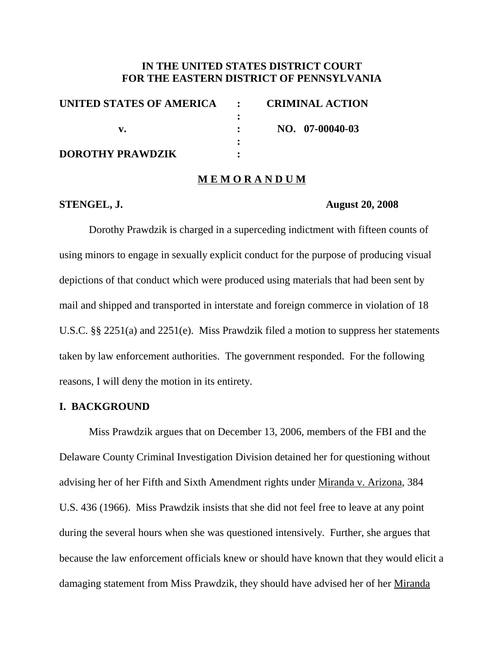## **IN THE UNITED STATES DISTRICT COURT FOR THE EASTERN DISTRICT OF PENNSYLVANIA**

| <b>CRIMINAL ACTION</b>     |
|----------------------------|
|                            |
| NO. 07-00040-03            |
|                            |
|                            |
| UNITED STATES OF AMERICA : |

## **M E M O R A N D U M**

#### **STENGEL, J. August 20, 2008**

Dorothy Prawdzik is charged in a superceding indictment with fifteen counts of using minors to engage in sexually explicit conduct for the purpose of producing visual depictions of that conduct which were produced using materials that had been sent by mail and shipped and transported in interstate and foreign commerce in violation of 18 U.S.C. §§ 2251(a) and 2251(e). Miss Prawdzik filed a motion to suppress her statements taken by law enforcement authorities. The government responded. For the following reasons, I will deny the motion in its entirety.

## **I. BACKGROUND**

Miss Prawdzik argues that on December 13, 2006, members of the FBI and the Delaware County Criminal Investigation Division detained her for questioning without advising her of her Fifth and Sixth Amendment rights under Miranda v. Arizona, 384 U.S. 436 (1966). Miss Prawdzik insists that she did not feel free to leave at any point during the several hours when she was questioned intensively. Further, she argues that because the law enforcement officials knew or should have known that they would elicit a damaging statement from Miss Prawdzik, they should have advised her of her Miranda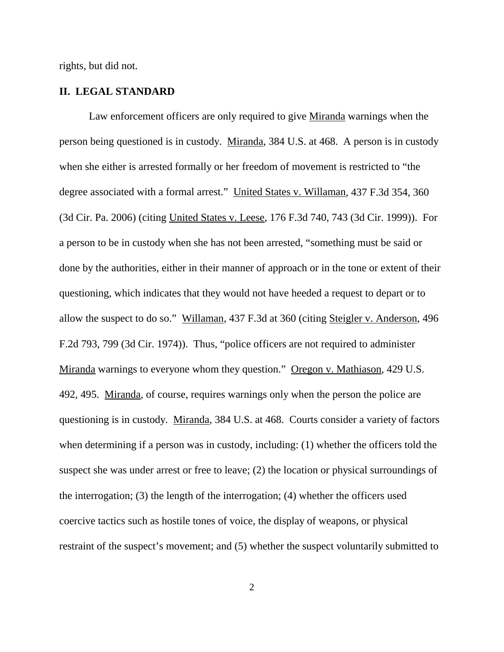rights, but did not.

## **II. LEGAL STANDARD**

Law enforcement officers are only required to give Miranda warnings when the person being questioned is in custody. Miranda, 384 U.S. at 468. A person is in custody when she either is arrested formally or her freedom of movement is restricted to "the degree associated with a formal arrest." United States v. Willaman, 437 F.3d 354, 360 (3d Cir. Pa. 2006) (citing United States v. Leese, 176 F.3d 740, 743 (3d Cir. 1999)). For a person to be in custody when she has not been arrested, "something must be said or done by the authorities, either in their manner of approach or in the tone or extent of their questioning, which indicates that they would not have heeded a request to depart or to allow the suspect to do so." Willaman, 437 F.3d at 360 (citing Steigler v. Anderson, 496 F.2d 793, 799 (3d Cir. 1974)). Thus, "police officers are not required to administer Miranda warnings to everyone whom they question." Oregon v. Mathiason, 429 U.S. 492, 495. Miranda, of course, requires warnings only when the person the police are questioning is in custody. Miranda, 384 U.S. at 468. Courts consider a variety of factors when determining if a person was in custody, including: (1) whether the officers told the suspect she was under arrest or free to leave; (2) the location or physical surroundings of the interrogation; (3) the length of the interrogation; (4) whether the officers used coercive tactics such as hostile tones of voice, the display of weapons, or physical restraint of the suspect's movement; and (5) whether the suspect voluntarily submitted to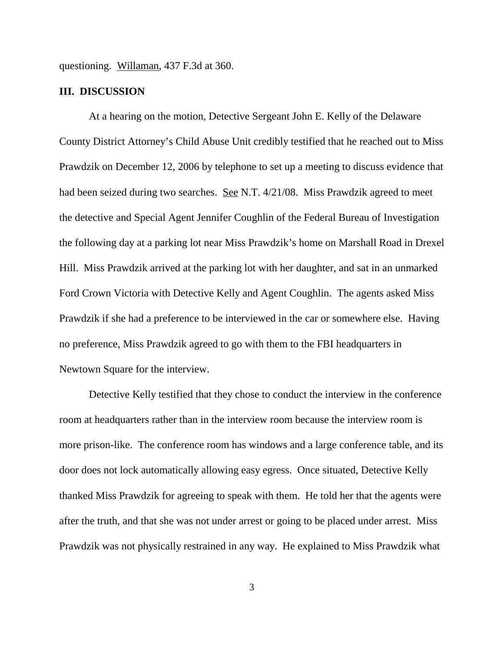questioning. Willaman, 437 F.3d at 360.

#### **III. DISCUSSION**

At a hearing on the motion, Detective Sergeant John E. Kelly of the Delaware County District Attorney's Child Abuse Unit credibly testified that he reached out to Miss Prawdzik on December 12, 2006 by telephone to set up a meeting to discuss evidence that had been seized during two searches. See N.T. 4/21/08. Miss Prawdzik agreed to meet the detective and Special Agent Jennifer Coughlin of the Federal Bureau of Investigation the following day at a parking lot near Miss Prawdzik's home on Marshall Road in Drexel Hill. Miss Prawdzik arrived at the parking lot with her daughter, and sat in an unmarked Ford Crown Victoria with Detective Kelly and Agent Coughlin. The agents asked Miss Prawdzik if she had a preference to be interviewed in the car or somewhere else. Having no preference, Miss Prawdzik agreed to go with them to the FBI headquarters in Newtown Square for the interview.

Detective Kelly testified that they chose to conduct the interview in the conference room at headquarters rather than in the interview room because the interview room is more prison-like. The conference room has windows and a large conference table, and its door does not lock automatically allowing easy egress. Once situated, Detective Kelly thanked Miss Prawdzik for agreeing to speak with them. He told her that the agents were after the truth, and that she was not under arrest or going to be placed under arrest. Miss Prawdzik was not physically restrained in any way. He explained to Miss Prawdzik what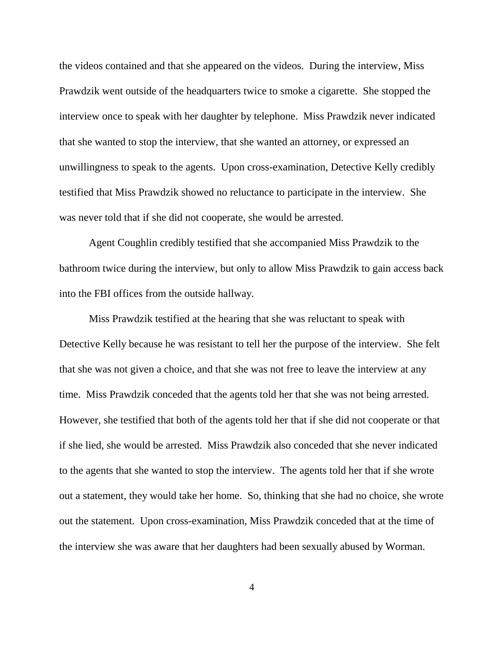the videos contained and that she appeared on the videos. During the interview, Miss Prawdzik went outside of the headquarters twice to smoke a cigarette. She stopped the interview once to speak with her daughter by telephone. Miss Prawdzik never indicated that she wanted to stop the interview, that she wanted an attorney, or expressed an unwillingness to speak to the agents. Upon cross-examination, Detective Kelly credibly testified that Miss Prawdzik showed no reluctance to participate in the interview. She was never told that if she did not cooperate, she would be arrested.

Agent Coughlin credibly testified that she accompanied Miss Prawdzik to the bathroom twice during the interview, but only to allow Miss Prawdzik to gain access back into the FBI offices from the outside hallway.

Miss Prawdzik testified at the hearing that she was reluctant to speak with Detective Kelly because he was resistant to tell her the purpose of the interview. She felt that she was not given a choice, and that she was not free to leave the interview at any time. Miss Prawdzik conceded that the agents told her that she was not being arrested. However, she testified that both of the agents told her that if she did not cooperate or that if she lied, she would be arrested. Miss Prawdzik also conceded that she never indicated to the agents that she wanted to stop the interview. The agents told her that if she wrote out a statement, they would take her home. So, thinking that she had no choice, she wrote out the statement. Upon cross-examination, Miss Prawdzik conceded that at the time of the interview she was aware that her daughters had been sexually abused by Worman.

4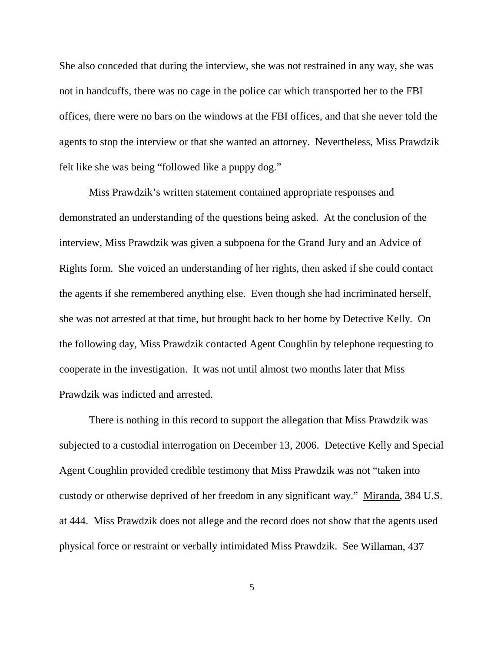She also conceded that during the interview, she was not restrained in any way, she was not in handcuffs, there was no cage in the police car which transported her to the FBI offices, there were no bars on the windows at the FBI offices, and that she never told the agents to stop the interview or that she wanted an attorney. Nevertheless, Miss Prawdzik felt like she was being "followed like a puppy dog."

Miss Prawdzik's written statement contained appropriate responses and demonstrated an understanding of the questions being asked. At the conclusion of the interview, Miss Prawdzik was given a subpoena for the Grand Jury and an Advice of Rights form. She voiced an understanding of her rights, then asked if she could contact the agents if she remembered anything else. Even though she had incriminated herself, she was not arrested at that time, but brought back to her home by Detective Kelly. On the following day, Miss Prawdzik contacted Agent Coughlin by telephone requesting to cooperate in the investigation. It was not until almost two months later that Miss Prawdzik was indicted and arrested.

There is nothing in this record to support the allegation that Miss Prawdzik was subjected to a custodial interrogation on December 13, 2006. Detective Kelly and Special Agent Coughlin provided credible testimony that Miss Prawdzik was not "taken into custody or otherwise deprived of her freedom in any significant way." Miranda, 384 U.S. at 444. Miss Prawdzik does not allege and the record does not show that the agents used physical force or restraint or verbally intimidated Miss Prawdzik. See Willaman, 437

5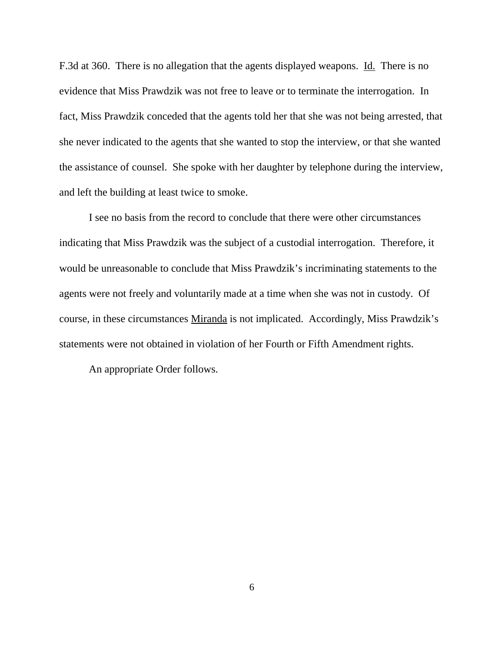F.3d at 360. There is no allegation that the agents displayed weapons. Id. There is no evidence that Miss Prawdzik was not free to leave or to terminate the interrogation. In fact, Miss Prawdzik conceded that the agents told her that she was not being arrested, that she never indicated to the agents that she wanted to stop the interview, or that she wanted the assistance of counsel. She spoke with her daughter by telephone during the interview, and left the building at least twice to smoke.

I see no basis from the record to conclude that there were other circumstances indicating that Miss Prawdzik was the subject of a custodial interrogation. Therefore, it would be unreasonable to conclude that Miss Prawdzik's incriminating statements to the agents were not freely and voluntarily made at a time when she was not in custody. Of course, in these circumstances Miranda is not implicated. Accordingly, Miss Prawdzik's statements were not obtained in violation of her Fourth or Fifth Amendment rights.

An appropriate Order follows.